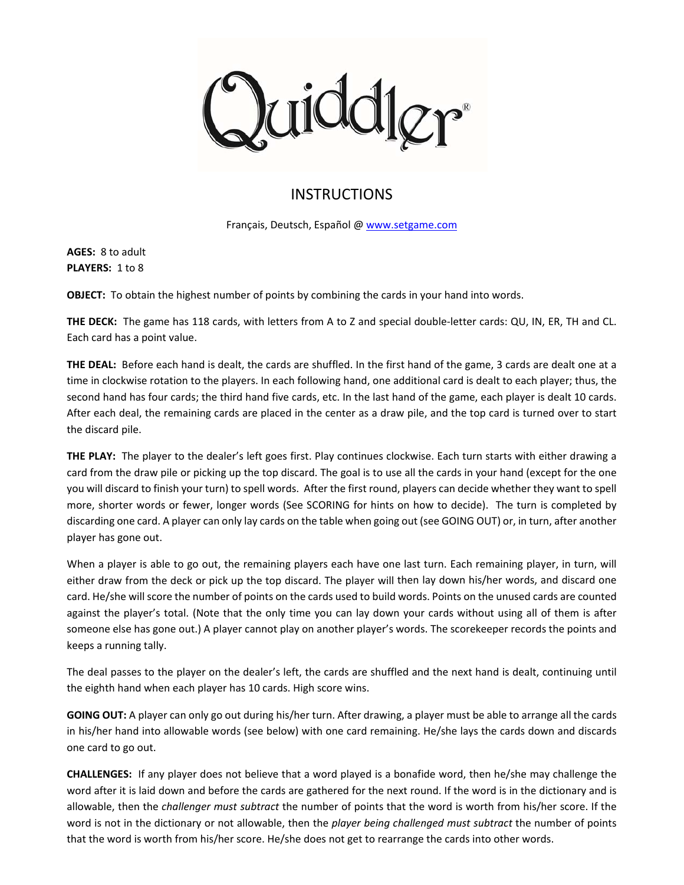qidd

## INSTRUCTIONS

Français, Deutsch, Español @ www.setgame.com

**AGES:** 8 to adult PLAYERS: 1 to 8

**OBJECT:** To obtain the highest number of points by combining the cards in your hand into words.

**THE DECK:** The game has 118 cards, with letters from A to Z and special double‐letter cards: QU, IN, ER, TH and CL. Each card has a point value.

**THE DEAL:** Before each hand is dealt, the cards are shuffled. In the first hand of the game, 3 cards are dealt one at a time in clockwise rotation to the players. In each following hand, one additional card is dealt to each player; thus, the second hand has four cards; the third hand five cards, etc. In the last hand of the game, each player is dealt 10 cards. After each deal, the remaining cards are placed in the center as a draw pile, and the top card is turned over to start the discard pile.

**THE PLAY:** The player to the dealer's left goes first. Play continues clockwise. Each turn starts with either drawing a card from the draw pile or picking up the top discard. The goal is to use all the cards in your hand (except for the one you will discard to finish your turn) to spell words. After the first round, players can decide whether they want to spell more, shorter words or fewer, longer words (See SCORING for hints on how to decide). The turn is completed by discarding one card. A player can only lay cards on the table when going out (see GOING OUT) or, in turn, after another player has gone out.

When a player is able to go out, the remaining players each have one last turn. Each remaining player, in turn, will either draw from the deck or pick up the top discard. The player will then lay down his/her words, and discard one card. He/she will score the number of points on the cards used to build words. Points on the unused cards are counted against the player's total. (Note that the only time you can lay down your cards without using all of them is after someone else has gone out.) A player cannot play on another player's words. The scorekeeper records the points and keeps a running tally.

The deal passes to the player on the dealer's left, the cards are shuffled and the next hand is dealt, continuing until the eighth hand when each player has 10 cards. High score wins.

**GOING OUT:** A player can only go out during his/her turn. After drawing, a player must be able to arrange all the cards in his/her hand into allowable words (see below) with one card remaining. He/she lays the cards down and discards one card to go out.

**CHALLENGES:** If any player does not believe that a word played is a bonafide word, then he/she may challenge the word after it is laid down and before the cards are gathered for the next round. If the word is in the dictionary and is allowable, then the *challenger must subtract* the number of points that the word is worth from his/her score. If the word is not in the dictionary or not allowable, then the *player being challenged must subtract* the number of points that the word is worth from his/her score. He/she does not get to rearrange the cards into other words.